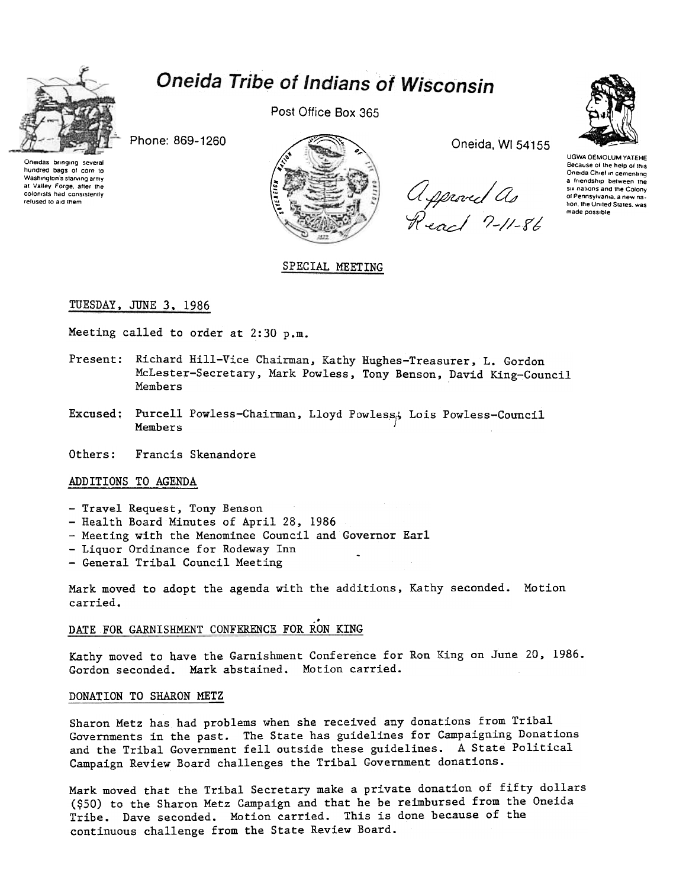

hundred bags of corn to

Washington's starving army

at Valley Forge, after the

colonists had consistently

refused to aid them

# Oneida Tribe of Indians of Wisconsin

Post Office Box 365

Phone: 869-1260



SPECIAL MEETING

Oneida, WI 54155

Approved As<br>React 7-11-86



UGWA DEMOLUM YATEHE Because of the help of this Oneida Chief in cementing a friendship between the six nations and the Colony of Pennsylvania, a new nation, the United States, was made possible

TUESDAY, JUNE 3, 1986

Meeting called to order at 2:30 p.m.

- Present: Richard Hill-Vice Chairman, Kathy Hughes-Treasurer, L. Gordon McLester-Secretary, Mark Powless, Tony Benson, David King-Council Members
- Purcell Powless-Chairman, Lloyd Powless, Lois Powless-Council Excused; Members
- Others: Francis Skenandore

### ADDITIONS TO AGENDA

- Travel Request, Tony Benson
- Health Board Minutes of April 28, 1986
- Meeting with the Menominee Council and Governor Earl
- Liquor Ordinance for Rodeway Inn
- General Tribal Council Meeting

Mark moved to adopt the agenda with the additions, Kathy seconded. Motion carried.

### DATE FOR GARNISHMENT CONFERENCE FOR RON KING

Kathy moved to have the Garnishment Conference for Ron King on June 20, 1986. Gordon seconded. Mark abstained. Motion carried.

#### DONATION TO SHARON METZ

Sharon Metz has had problems when she received any donations from Tribal Governments in the past. The State has guidelines for Campaigning Donations and the Tribal Government fell outside these guidelines. A State Political Campaign Review Board challenges the Tribal Government donations.

Mark moved that the Tribal Secretary make a private donation of fifty dollars (\$50) to the Sharon Metz Campaign and that he be reimbursed from the Oneida Tribe. Dave seconded. Motion carried. This is done because of the continuous challenge from the State Review Board.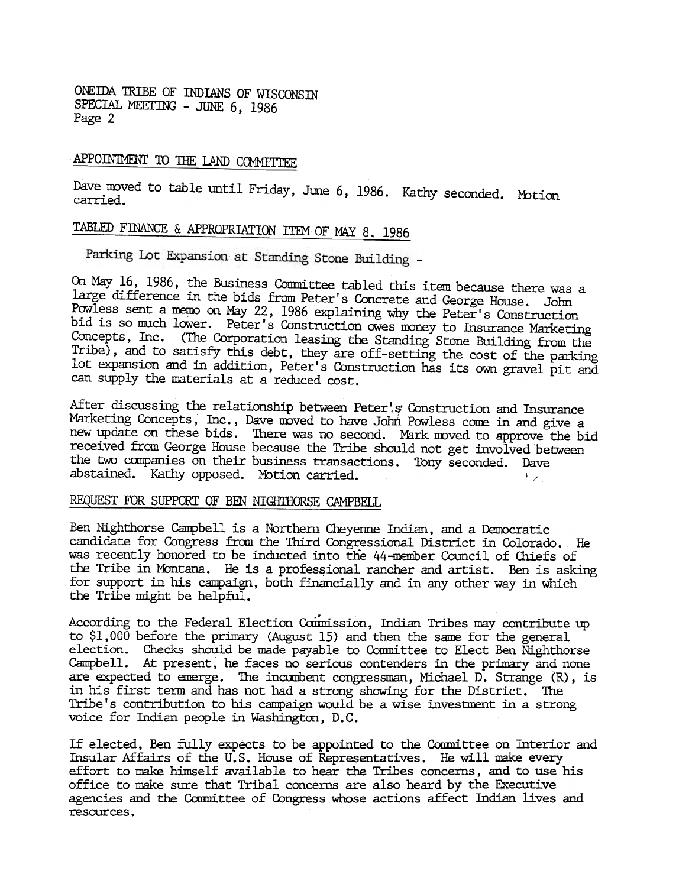ONEIDA TRIBE OF INDIANS OF WISCONSIN SPECIAL MEETING - JUNE 6, 1986 Page 2

## APPOINTMENT TO THE LAND COMMITTEE

Dave moved to table until Friday, June 6, 1986. Kathy seconded. Motion<br>carried.

# TABLED FINANCE & APPROPRIATION ITEM OF MAY 8, 1986

Parking Lot Expansion at Standing Stone Building -

On May 16, 1986, the Business Committee tabled this item because there was a large difference in the bids from Peter's Concrete and George House. John Powless sent a memo on May 22, 1986 explaining why the Peter's Construction bid is so much lower. Peter's Construction owes money to Insurance Marketing Concepts, Inc. (The Corporation leasing the Standing Stone Building from the Tribe), and to satisfy this debt, they are off-setting the cost of the parking lot expansion and in addition, Peter's Construction has its own gravel pit and can supply the materials at a reduced cost.

After discussing the relationship between Peter's Construction and Insurance Marketing Concepts, Inc., Dave moved to have John Powless come in and give a new update on these bids. There was no second. Mark moved to approve the bid received from George House because the Tribe should not get involved between the two companies on their business transactions. Tony seconded. Dave abstained. Kathy opposed. Motion carried.  $\qquad \qquad \qquad$ 

### REQUEST FOR SUPPORT OF BEN NIGHTHORSE CAMPBELL

Ben Nighthorse Campbell is a Northern Cheyenne Indian, and a Democratic candidate for Congress from the Third Congressional District in Colorado. He was recently honored to be inducted into the 44-mernber Council of Chiefs of the Tribe in Montana. He is a professional rancher and artist. Ben is asking for support in his campaign, both financially and in any other way in which the Tribe might be helpful.

According to the Federal Election Commission, Indian Tribes may contribute up to \$1,000 before the primary (August 15) and then the same for the general election. Checks should be made payable to Committee to Elect Ben Nighthorse Campbell. At present, he faces no serious contenders in the primary and none are expected to emerge. The incumbent congressman, Michael D. Strange (R), is in his first term and has not had a strong showing for the District. The Tribe's contribution to his campaign would be a wise investment in a strong voice for Indian people in Washington, D.C.

If elected, Ben fully expects to be appointed to the Committee on Interior and Insular Affairs of the U.S. House of Representatives. He will make every effort to m3ke himself available to hear the Tribes concerns, and to use his office to make sure that Tribal concerns are also heard by the Executive agencies and the Committee of Congress whose actions affect Indian lives and resources.